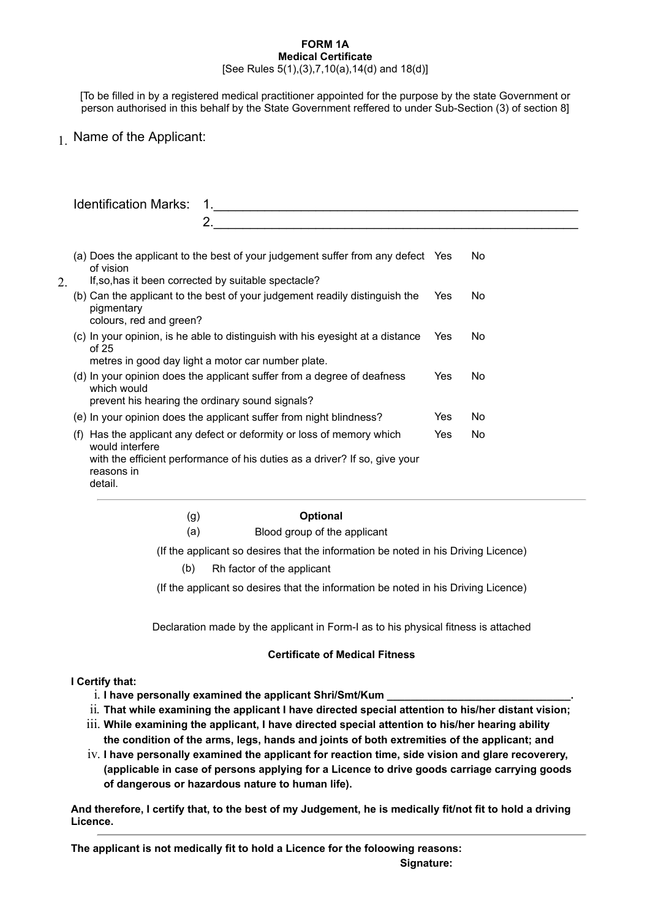## **FORM 1A Medical Certificate**

### [See Rules 5(1),(3),7,10(a),14(d) and 18(d)]

[To be filled in by a registered medical practitioner appointed for the purpose by the state Government or person authorised in this behalf by the State Government reffered to under Sub-Section (3) of section 8]

1. Name of the Applicant:

|    |                                                                                                                                                                | <b>Identification Marks:</b>                                                                                                                                                                |            |            |           |
|----|----------------------------------------------------------------------------------------------------------------------------------------------------------------|---------------------------------------------------------------------------------------------------------------------------------------------------------------------------------------------|------------|------------|-----------|
|    |                                                                                                                                                                |                                                                                                                                                                                             |            |            |           |
|    | Does the applicant to the best of your judgement suffer from any defect Yes<br>No.<br>(a)<br>of vision<br>If, so, has it been corrected by suitable spectacle? |                                                                                                                                                                                             |            |            |           |
| 2. | (b) Can the applicant to the best of your judgement readily distinguish the<br>pigmentary<br>colours, red and green?                                           |                                                                                                                                                                                             | <b>Yes</b> | No.        |           |
|    |                                                                                                                                                                | (c) In your opinion, is he able to distinguish with his eyesight at a distance<br>of 25<br>metres in good day light a motor car number plate.                                               |            | <b>Yes</b> | No.       |
|    |                                                                                                                                                                | (d) In your opinion does the applicant suffer from a degree of deafness<br>which would<br>prevent his hearing the ordinary sound signals?                                                   |            | Yes        | No.       |
|    |                                                                                                                                                                | (e) In your opinion does the applicant suffer from night blindness?                                                                                                                         |            | Yes        | No.       |
|    | (f)                                                                                                                                                            | Has the applicant any defect or deformity or loss of memory which<br>would interfere<br>with the efficient performance of his duties as a driver? If so, give your<br>reasons in<br>detail. |            | Yes        | <b>No</b> |

# (g) **Optional**

(a) Blood group of the applicant

(If the applicant so desires that the information be noted in his Driving Licence)

(b) Rh factor of the applicant

(If the applicant so desires that the information be noted in his Driving Licence)

Declaration made by the applicant in Form-I as to his physical fitness is attached

### **Certificate of Medical Fitness**

### **I Certify that:**

- i. I have personally examined the applicant Shri/Smt/Kum
- ii. **That while examining the applicant I have directed special attention to his/her distant vision;**
- iii. **While examining the applicant, I have directed special attention to his/her hearing ability the condition of the arms, legs, hands and joints of both extremities of the applicant; and**
- iv. **I have personally examined the applicant for reaction time, side vision and glare recoverery, (applicable in case of persons applying for a Licence to drive goods carriage carrying goods of dangerous or hazardous nature to human life).**

**And therefore, I certify that, to the best of my Judgement, he is medically fit/not fit to hold a driving Licence.**

**The applicant is not medically fit to hold a Licence for the foloowing reasons: Signature:**